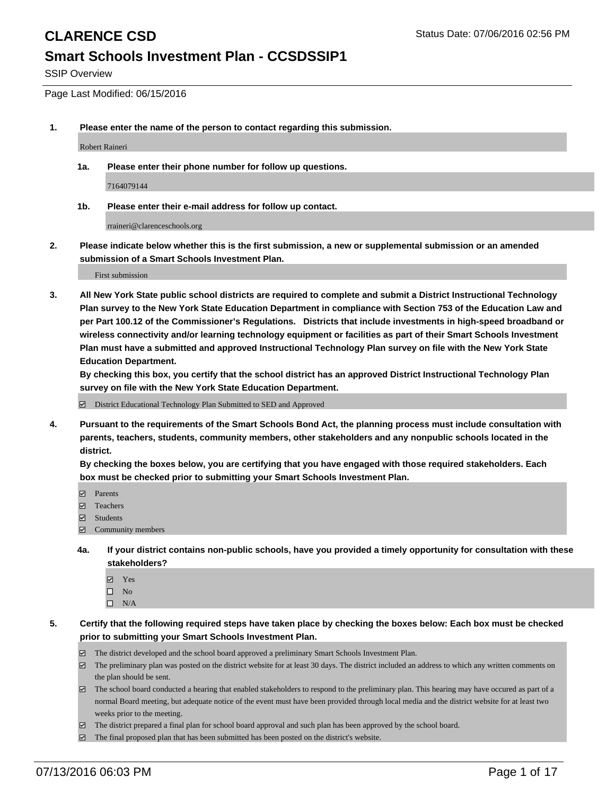SSIP Overview

Page Last Modified: 06/15/2016

**1. Please enter the name of the person to contact regarding this submission.**

Robert Raineri

**1a. Please enter their phone number for follow up questions.**

7164079144

**1b. Please enter their e-mail address for follow up contact.**

rraineri@clarenceschools.org

**2. Please indicate below whether this is the first submission, a new or supplemental submission or an amended submission of a Smart Schools Investment Plan.**

First submission

**3. All New York State public school districts are required to complete and submit a District Instructional Technology Plan survey to the New York State Education Department in compliance with Section 753 of the Education Law and per Part 100.12 of the Commissioner's Regulations. Districts that include investments in high-speed broadband or wireless connectivity and/or learning technology equipment or facilities as part of their Smart Schools Investment Plan must have a submitted and approved Instructional Technology Plan survey on file with the New York State Education Department.** 

**By checking this box, you certify that the school district has an approved District Instructional Technology Plan survey on file with the New York State Education Department.**

District Educational Technology Plan Submitted to SED and Approved

**4. Pursuant to the requirements of the Smart Schools Bond Act, the planning process must include consultation with parents, teachers, students, community members, other stakeholders and any nonpublic schools located in the district.** 

**By checking the boxes below, you are certifying that you have engaged with those required stakeholders. Each box must be checked prior to submitting your Smart Schools Investment Plan.**

- **Parents**
- Teachers
- $\blacksquare$  Students
- Community members
- **4a. If your district contains non-public schools, have you provided a timely opportunity for consultation with these stakeholders?**
	- Yes  $\square$  No
	- $\square$  N/A
- **5. Certify that the following required steps have taken place by checking the boxes below: Each box must be checked prior to submitting your Smart Schools Investment Plan.**
	- The district developed and the school board approved a preliminary Smart Schools Investment Plan.
	- $\boxdot$  The preliminary plan was posted on the district website for at least 30 days. The district included an address to which any written comments on the plan should be sent.
	- The school board conducted a hearing that enabled stakeholders to respond to the preliminary plan. This hearing may have occured as part of a normal Board meeting, but adequate notice of the event must have been provided through local media and the district website for at least two weeks prior to the meeting.
	- The district prepared a final plan for school board approval and such plan has been approved by the school board.
	- $\boxdot$  The final proposed plan that has been submitted has been posted on the district's website.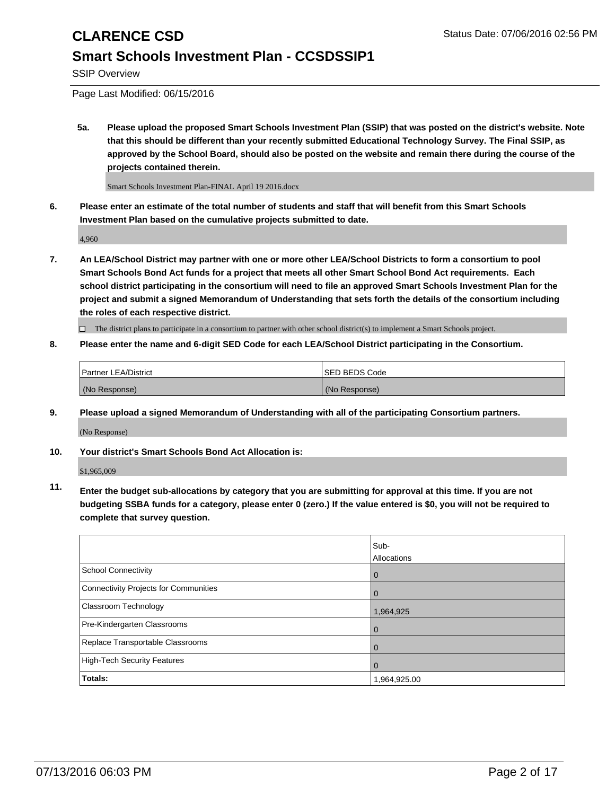SSIP Overview

Page Last Modified: 06/15/2016

**5a. Please upload the proposed Smart Schools Investment Plan (SSIP) that was posted on the district's website. Note that this should be different than your recently submitted Educational Technology Survey. The Final SSIP, as approved by the School Board, should also be posted on the website and remain there during the course of the projects contained therein.**

Smart Schools Investment Plan-FINAL April 19 2016.docx

**6. Please enter an estimate of the total number of students and staff that will benefit from this Smart Schools Investment Plan based on the cumulative projects submitted to date.**

4,960

**7. An LEA/School District may partner with one or more other LEA/School Districts to form a consortium to pool Smart Schools Bond Act funds for a project that meets all other Smart School Bond Act requirements. Each school district participating in the consortium will need to file an approved Smart Schools Investment Plan for the project and submit a signed Memorandum of Understanding that sets forth the details of the consortium including the roles of each respective district.**

 $\Box$  The district plans to participate in a consortium to partner with other school district(s) to implement a Smart Schools project.

### **8. Please enter the name and 6-digit SED Code for each LEA/School District participating in the Consortium.**

| <b>Partner LEA/District</b> | <b>ISED BEDS Code</b> |
|-----------------------------|-----------------------|
| (No Response)               | (No Response)         |

**9. Please upload a signed Memorandum of Understanding with all of the participating Consortium partners.**

(No Response)

**10. Your district's Smart Schools Bond Act Allocation is:**

\$1,965,009

**11. Enter the budget sub-allocations by category that you are submitting for approval at this time. If you are not budgeting SSBA funds for a category, please enter 0 (zero.) If the value entered is \$0, you will not be required to complete that survey question.**

|                                       | Sub-         |
|---------------------------------------|--------------|
|                                       | Allocations  |
| School Connectivity                   | 0            |
| Connectivity Projects for Communities | $\Omega$     |
| Classroom Technology                  | 1,964,925    |
| Pre-Kindergarten Classrooms           | $\Omega$     |
| Replace Transportable Classrooms      | $\Omega$     |
| High-Tech Security Features           | $\Omega$     |
| <b>Totals:</b>                        | 1,964,925.00 |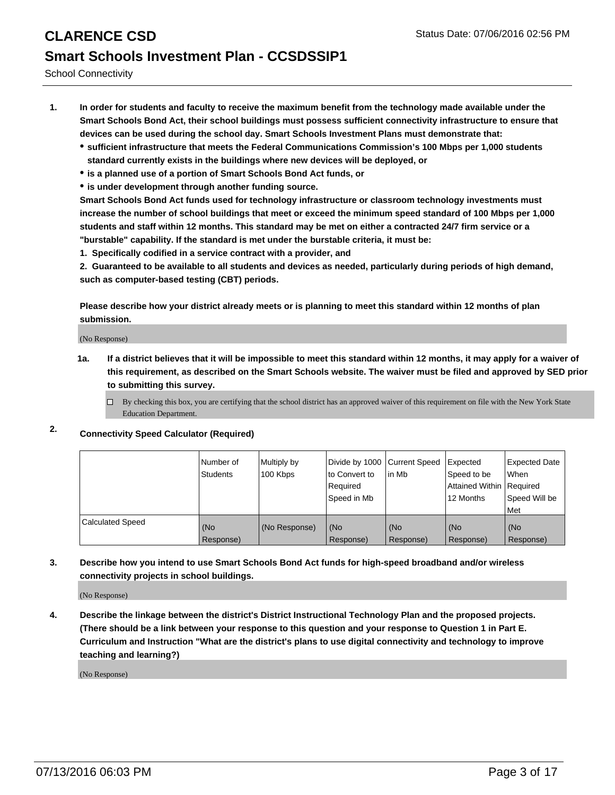## **CLARENCE CSD** Status Date: 07/06/2016 02:56 PM **Smart Schools Investment Plan - CCSDSSIP1**

School Connectivity

- **1. In order for students and faculty to receive the maximum benefit from the technology made available under the Smart Schools Bond Act, their school buildings must possess sufficient connectivity infrastructure to ensure that devices can be used during the school day. Smart Schools Investment Plans must demonstrate that:**
	- **sufficient infrastructure that meets the Federal Communications Commission's 100 Mbps per 1,000 students standard currently exists in the buildings where new devices will be deployed, or**
	- **is a planned use of a portion of Smart Schools Bond Act funds, or**
	- **is under development through another funding source.**

**Smart Schools Bond Act funds used for technology infrastructure or classroom technology investments must increase the number of school buildings that meet or exceed the minimum speed standard of 100 Mbps per 1,000 students and staff within 12 months. This standard may be met on either a contracted 24/7 firm service or a "burstable" capability. If the standard is met under the burstable criteria, it must be:**

**1. Specifically codified in a service contract with a provider, and**

**2. Guaranteed to be available to all students and devices as needed, particularly during periods of high demand, such as computer-based testing (CBT) periods.**

**Please describe how your district already meets or is planning to meet this standard within 12 months of plan submission.**

(No Response)

- **1a. If a district believes that it will be impossible to meet this standard within 12 months, it may apply for a waiver of this requirement, as described on the Smart Schools website. The waiver must be filed and approved by SED prior to submitting this survey.**
	- $\Box$  By checking this box, you are certifying that the school district has an approved waiver of this requirement on file with the New York State Education Department.
- **2. Connectivity Speed Calculator (Required)**

|                         | Number of<br><b>Students</b> | Multiply by<br>100 Kbps | Divide by 1000 Current Speed<br>to Convert to<br>Required<br>Speed in Mb | in Mb            | Expected<br>Speed to be<br>Attained Within   Required<br>12 Months | <b>Expected Date</b><br><b>When</b><br>Speed Will be<br><b>Met</b> |
|-------------------------|------------------------------|-------------------------|--------------------------------------------------------------------------|------------------|--------------------------------------------------------------------|--------------------------------------------------------------------|
| <b>Calculated Speed</b> | (No<br>Response)             | (No Response)           | (No<br>Response)                                                         | (No<br>Response) | (No<br>Response)                                                   | (No<br>Response)                                                   |

### **3. Describe how you intend to use Smart Schools Bond Act funds for high-speed broadband and/or wireless connectivity projects in school buildings.**

(No Response)

**4. Describe the linkage between the district's District Instructional Technology Plan and the proposed projects. (There should be a link between your response to this question and your response to Question 1 in Part E. Curriculum and Instruction "What are the district's plans to use digital connectivity and technology to improve teaching and learning?)**

(No Response)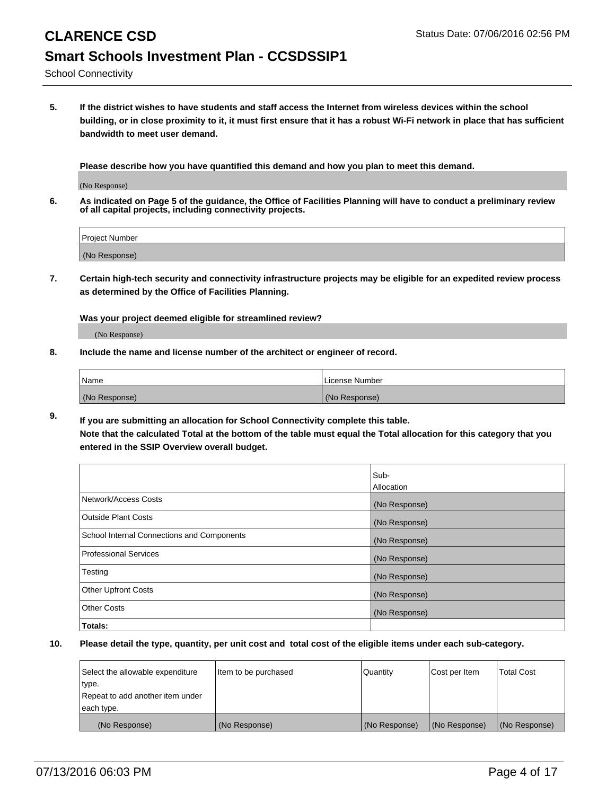## **CLARENCE CSD** Status Date: 07/06/2016 02:56 PM **Smart Schools Investment Plan - CCSDSSIP1**

School Connectivity

**5. If the district wishes to have students and staff access the Internet from wireless devices within the school building, or in close proximity to it, it must first ensure that it has a robust Wi-Fi network in place that has sufficient bandwidth to meet user demand.**

**Please describe how you have quantified this demand and how you plan to meet this demand.**

(No Response)

**6. As indicated on Page 5 of the guidance, the Office of Facilities Planning will have to conduct a preliminary review of all capital projects, including connectivity projects.**

| <b>Project Number</b> |  |
|-----------------------|--|
|                       |  |
| (No Response)         |  |

**7. Certain high-tech security and connectivity infrastructure projects may be eligible for an expedited review process as determined by the Office of Facilities Planning.**

**Was your project deemed eligible for streamlined review?**

(No Response)

**8. Include the name and license number of the architect or engineer of record.**

| Name          | License Number |
|---------------|----------------|
| (No Response) | (No Response)  |

**9. If you are submitting an allocation for School Connectivity complete this table. Note that the calculated Total at the bottom of the table must equal the Total allocation for this category that you entered in the SSIP Overview overall budget.** 

|                                            | Sub-<br>Allocation |
|--------------------------------------------|--------------------|
|                                            |                    |
| Network/Access Costs                       | (No Response)      |
| <b>Outside Plant Costs</b>                 | (No Response)      |
| School Internal Connections and Components | (No Response)      |
| <b>Professional Services</b>               | (No Response)      |
| Testing                                    | (No Response)      |
| <b>Other Upfront Costs</b>                 | (No Response)      |
| <b>Other Costs</b>                         | (No Response)      |
| Totals:                                    |                    |

| Select the allowable expenditure | litem to be purchased | Quantity      | Cost per Item | Total Cost    |
|----------------------------------|-----------------------|---------------|---------------|---------------|
| type.                            |                       |               |               |               |
| Repeat to add another item under |                       |               |               |               |
| each type.                       |                       |               |               |               |
| (No Response)                    | (No Response)         | (No Response) | (No Response) | (No Response) |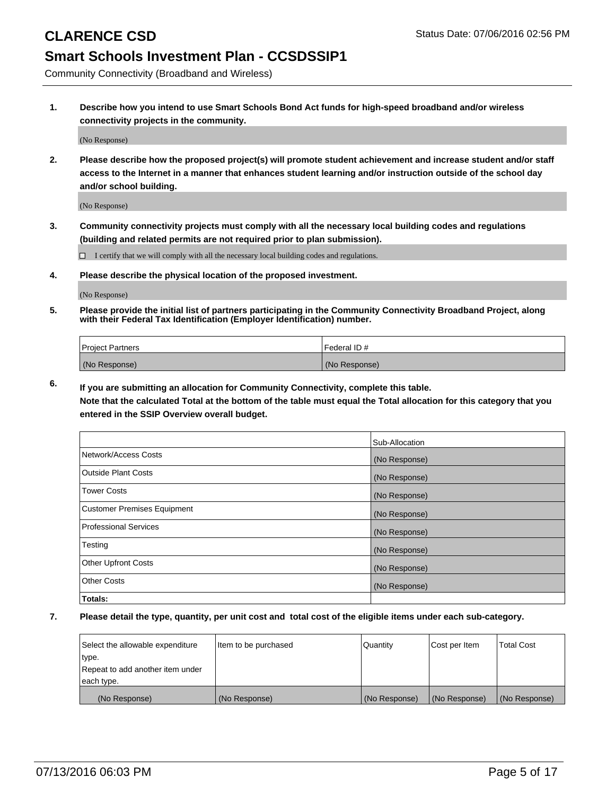Community Connectivity (Broadband and Wireless)

**1. Describe how you intend to use Smart Schools Bond Act funds for high-speed broadband and/or wireless connectivity projects in the community.**

(No Response)

**2. Please describe how the proposed project(s) will promote student achievement and increase student and/or staff access to the Internet in a manner that enhances student learning and/or instruction outside of the school day and/or school building.**

(No Response)

**3. Community connectivity projects must comply with all the necessary local building codes and regulations (building and related permits are not required prior to plan submission).**

 $\Box$  I certify that we will comply with all the necessary local building codes and regulations.

**4. Please describe the physical location of the proposed investment.**

(No Response)

**5. Please provide the initial list of partners participating in the Community Connectivity Broadband Project, along with their Federal Tax Identification (Employer Identification) number.**

| <b>Project Partners</b> | I Federal ID # |
|-------------------------|----------------|
| (No Response)           | (No Response)  |

**6. If you are submitting an allocation for Community Connectivity, complete this table.**

**Note that the calculated Total at the bottom of the table must equal the Total allocation for this category that you entered in the SSIP Overview overall budget.**

|                                    | Sub-Allocation |
|------------------------------------|----------------|
| Network/Access Costs               | (No Response)  |
| Outside Plant Costs                | (No Response)  |
| Tower Costs                        | (No Response)  |
| <b>Customer Premises Equipment</b> | (No Response)  |
| Professional Services              | (No Response)  |
| Testing                            | (No Response)  |
| <b>Other Upfront Costs</b>         | (No Response)  |
| Other Costs                        | (No Response)  |
| Totals:                            |                |

| Select the allowable expenditure | Item to be purchased | Quantity      | Cost per Item | <b>Total Cost</b> |
|----------------------------------|----------------------|---------------|---------------|-------------------|
| type.                            |                      |               |               |                   |
| Repeat to add another item under |                      |               |               |                   |
| each type.                       |                      |               |               |                   |
| (No Response)                    | (No Response)        | (No Response) | (No Response) | (No Response)     |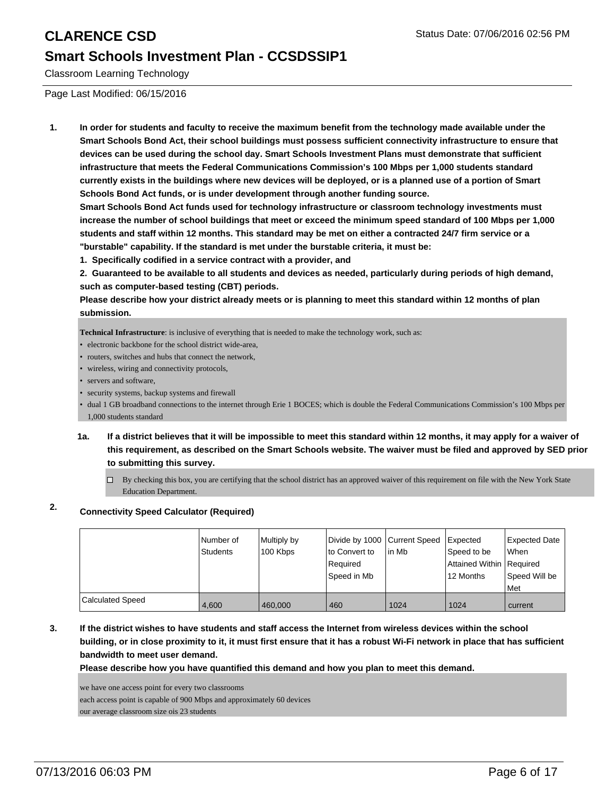Classroom Learning Technology

Page Last Modified: 06/15/2016

**1. In order for students and faculty to receive the maximum benefit from the technology made available under the Smart Schools Bond Act, their school buildings must possess sufficient connectivity infrastructure to ensure that devices can be used during the school day. Smart Schools Investment Plans must demonstrate that sufficient infrastructure that meets the Federal Communications Commission's 100 Mbps per 1,000 students standard currently exists in the buildings where new devices will be deployed, or is a planned use of a portion of Smart Schools Bond Act funds, or is under development through another funding source.**

**Smart Schools Bond Act funds used for technology infrastructure or classroom technology investments must increase the number of school buildings that meet or exceed the minimum speed standard of 100 Mbps per 1,000 students and staff within 12 months. This standard may be met on either a contracted 24/7 firm service or a "burstable" capability. If the standard is met under the burstable criteria, it must be:**

**1. Specifically codified in a service contract with a provider, and**

**2. Guaranteed to be available to all students and devices as needed, particularly during periods of high demand, such as computer-based testing (CBT) periods.**

**Please describe how your district already meets or is planning to meet this standard within 12 months of plan submission.**

**Technical Infrastructure**: is inclusive of everything that is needed to make the technology work, such as:

- electronic backbone for the school district wide-area,
- routers, switches and hubs that connect the network,
- wireless, wiring and connectivity protocols,
- servers and software.
- security systems, backup systems and firewall

• dual 1 GB broadband connections to the internet through Erie 1 BOCES; which is double the Federal Communications Commission's 100 Mbps per 1,000 students standard

- **1a. If a district believes that it will be impossible to meet this standard within 12 months, it may apply for a waiver of this requirement, as described on the Smart Schools website. The waiver must be filed and approved by SED prior to submitting this survey.**
	- $\Box$  By checking this box, you are certifying that the school district has an approved waiver of this requirement on file with the New York State Education Department.

### **2. Connectivity Speed Calculator (Required)**

|                         | Number of<br>Students | Multiply by<br>100 Kbps | Divide by 1000 Current Speed<br>to Convert to<br>l Reauired<br> Speed in Mb | lin Mb | <b>Expected</b><br>Speed to be<br>Attained Within Required<br>12 Months | Expected Date<br><b>When</b><br>Speed Will be<br><b>IMet</b> |
|-------------------------|-----------------------|-------------------------|-----------------------------------------------------------------------------|--------|-------------------------------------------------------------------------|--------------------------------------------------------------|
| <b>Calculated Speed</b> | 4.600                 | 460,000                 | 460                                                                         | 1024   | 1024                                                                    | current                                                      |

**3. If the district wishes to have students and staff access the Internet from wireless devices within the school building, or in close proximity to it, it must first ensure that it has a robust Wi-Fi network in place that has sufficient bandwidth to meet user demand.**

**Please describe how you have quantified this demand and how you plan to meet this demand.**

we have one access point for every two classrooms

each access point is capable of 900 Mbps and approximately 60 devices

our average classroom size ois 23 students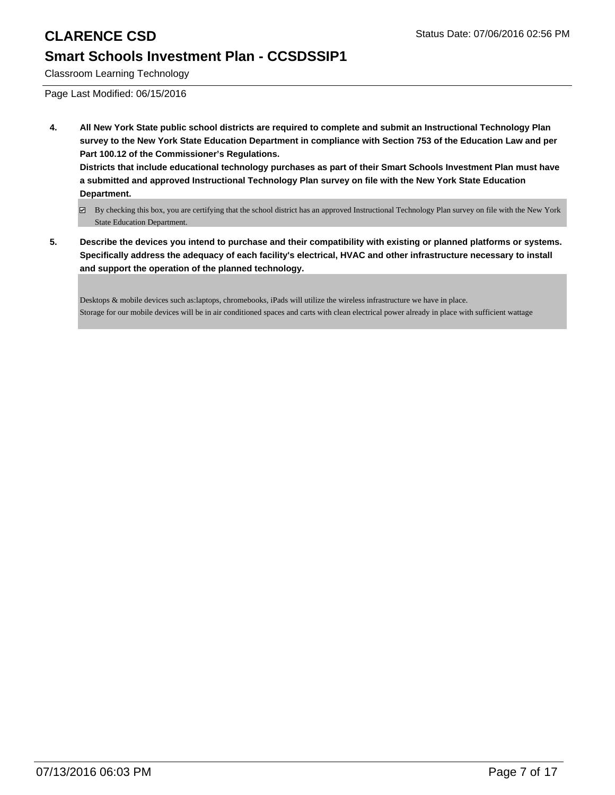Classroom Learning Technology

Page Last Modified: 06/15/2016

**4. All New York State public school districts are required to complete and submit an Instructional Technology Plan survey to the New York State Education Department in compliance with Section 753 of the Education Law and per Part 100.12 of the Commissioner's Regulations. Districts that include educational technology purchases as part of their Smart Schools Investment Plan must have a submitted and approved Instructional Technology Plan survey on file with the New York State Education**

**Department.**

- By checking this box, you are certifying that the school district has an approved Instructional Technology Plan survey on file with the New York State Education Department.
- **5. Describe the devices you intend to purchase and their compatibility with existing or planned platforms or systems. Specifically address the adequacy of each facility's electrical, HVAC and other infrastructure necessary to install and support the operation of the planned technology.**

Desktops & mobile devices such as:laptops, chromebooks, iPads will utilize the wireless infrastructure we have in place. Storage for our mobile devices will be in air conditioned spaces and carts with clean electrical power already in place with sufficient wattage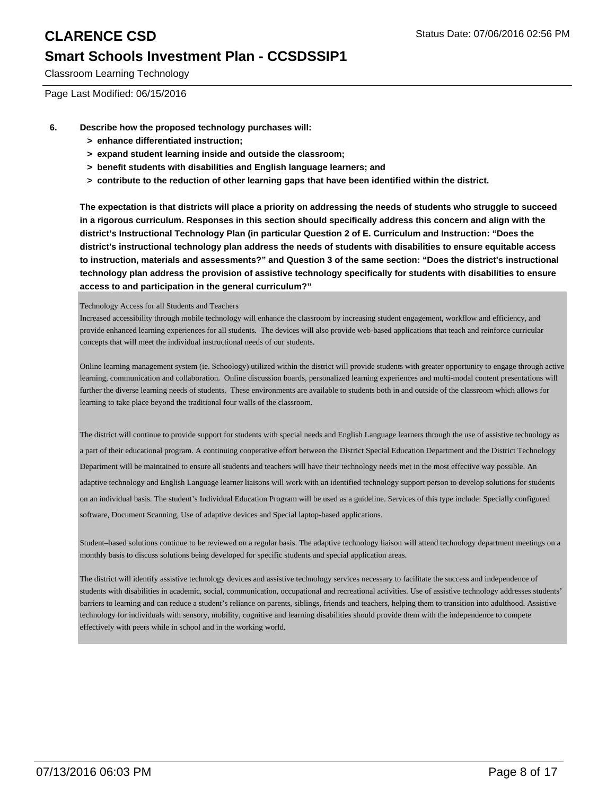Classroom Learning Technology

Page Last Modified: 06/15/2016

- **6. Describe how the proposed technology purchases will:**
	- **> enhance differentiated instruction;**
	- **> expand student learning inside and outside the classroom;**
	- **> benefit students with disabilities and English language learners; and**
	- **> contribute to the reduction of other learning gaps that have been identified within the district.**

**The expectation is that districts will place a priority on addressing the needs of students who struggle to succeed in a rigorous curriculum. Responses in this section should specifically address this concern and align with the district's Instructional Technology Plan (in particular Question 2 of E. Curriculum and Instruction: "Does the district's instructional technology plan address the needs of students with disabilities to ensure equitable access to instruction, materials and assessments?" and Question 3 of the same section: "Does the district's instructional technology plan address the provision of assistive technology specifically for students with disabilities to ensure access to and participation in the general curriculum?"**

### Technology Access for all Students and Teachers

Increased accessibility through mobile technology will enhance the classroom by increasing student engagement, workflow and efficiency, and provide enhanced learning experiences for all students. The devices will also provide web-based applications that teach and reinforce curricular concepts that will meet the individual instructional needs of our students.

Online learning management system (ie. Schoology) utilized within the district will provide students with greater opportunity to engage through active learning, communication and collaboration. Online discussion boards, personalized learning experiences and multi-modal content presentations will further the diverse learning needs of students. These environments are available to students both in and outside of the classroom which allows for learning to take place beyond the traditional four walls of the classroom.

The district will continue to provide support for students with special needs and English Language learners through the use of assistive technology as a part of their educational program. A continuing cooperative effort between the District Special Education Department and the District Technology Department will be maintained to ensure all students and teachers will have their technology needs met in the most effective way possible. An adaptive technology and English Language learner liaisons will work with an identified technology support person to develop solutions for students on an individual basis. The student's Individual Education Program will be used as a guideline. Services of this type include: Specially configured software, Document Scanning, Use of adaptive devices and Special laptop-based applications.

Student–based solutions continue to be reviewed on a regular basis. The adaptive technology liaison will attend technology department meetings on a monthly basis to discuss solutions being developed for specific students and special application areas.

The district will identify assistive technology devices and assistive technology services necessary to facilitate the success and independence of students with disabilities in academic, social, communication, occupational and recreational activities. Use of assistive technology addresses students' barriers to learning and can reduce a student's reliance on parents, siblings, friends and teachers, helping them to transition into adulthood. Assistive technology for individuals with sensory, mobility, cognitive and learning disabilities should provide them with the independence to compete effectively with peers while in school and in the working world.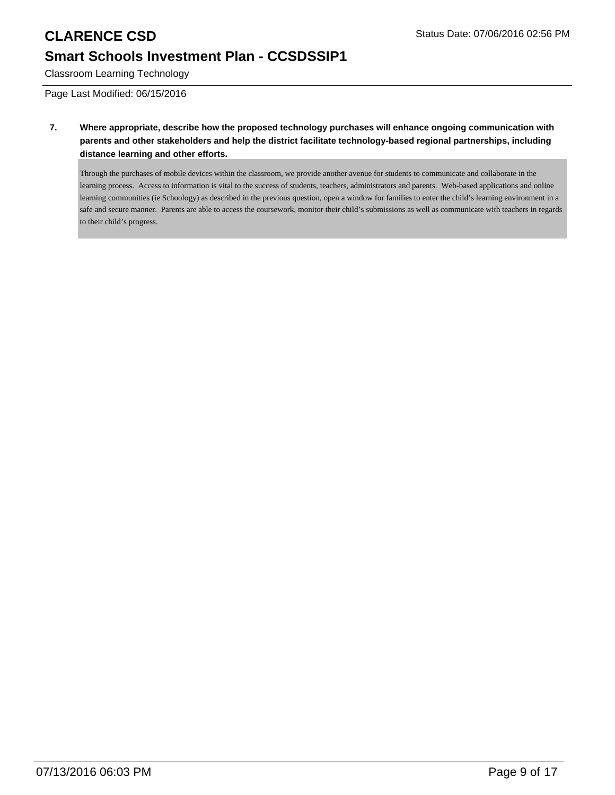Classroom Learning Technology

Page Last Modified: 06/15/2016

**7. Where appropriate, describe how the proposed technology purchases will enhance ongoing communication with parents and other stakeholders and help the district facilitate technology-based regional partnerships, including distance learning and other efforts.**

Through the purchases of mobile devices within the classroom, we provide another avenue for students to communicate and collaborate in the learning process. Access to information is vital to the success of students, teachers, administrators and parents. Web-based applications and online learning communities (ie Schoology) as described in the previous question, open a window for families to enter the child's learning environment in a safe and secure manner. Parents are able to access the coursework, monitor their child's submissions as well as communicate with teachers in regards to their child's progress.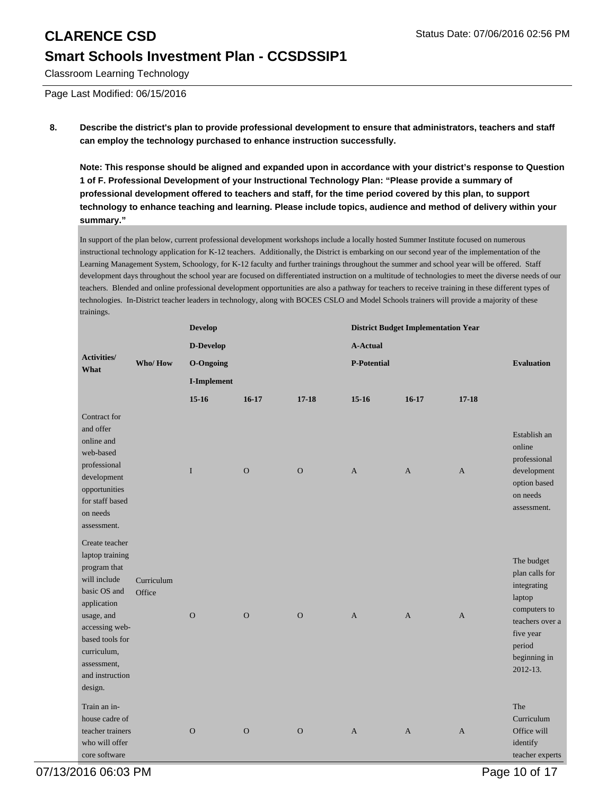Classroom Learning Technology

Page Last Modified: 06/15/2016

### **8. Describe the district's plan to provide professional development to ensure that administrators, teachers and staff can employ the technology purchased to enhance instruction successfully.**

**Note: This response should be aligned and expanded upon in accordance with your district's response to Question 1 of F. Professional Development of your Instructional Technology Plan: "Please provide a summary of professional development offered to teachers and staff, for the time period covered by this plan, to support technology to enhance teaching and learning. Please include topics, audience and method of delivery within your summary."**

In support of the plan below, current professional development workshops include a locally hosted Summer Institute focused on numerous instructional technology application for K-12 teachers. Additionally, the District is embarking on our second year of the implementation of the Learning Management System, Schoology, for K-12 faculty and further trainings throughout the summer and school year will be offered. Staff development days throughout the school year are focused on differentiated instruction on a multitude of technologies to meet the diverse needs of our teachers. Blended and online professional development opportunities are also a pathway for teachers to receive training in these different types of technologies. In-District teacher leaders in technology, along with BOCES CSLO and Model Schools trainers will provide a majority of these trainings.

|                                                                                                                                                                                                                 |                      | <b>Develop</b>   |              |              | <b>District Budget Implementation Year</b> |              |              |                                                                                                                                                 |
|-----------------------------------------------------------------------------------------------------------------------------------------------------------------------------------------------------------------|----------------------|------------------|--------------|--------------|--------------------------------------------|--------------|--------------|-------------------------------------------------------------------------------------------------------------------------------------------------|
|                                                                                                                                                                                                                 |                      | D-Develop        |              |              | <b>A-Actual</b>                            |              |              |                                                                                                                                                 |
| <b>Activities/</b><br>What                                                                                                                                                                                      | Who/How              | <b>O-Ongoing</b> |              |              | <b>P-Potential</b>                         |              |              | <b>Evaluation</b>                                                                                                                               |
|                                                                                                                                                                                                                 |                      | I-Implement      |              |              |                                            |              |              |                                                                                                                                                 |
|                                                                                                                                                                                                                 |                      | $15-16$          | $16-17$      | $17 - 18$    | $15-16$                                    | $16-17$      | $17 - 18$    |                                                                                                                                                 |
| Contract for<br>and offer<br>online and<br>web-based<br>professional<br>development<br>opportunities<br>for staff based<br>on needs<br>assessment.                                                              |                      | I                | $\mathbf{O}$ | $\mathbf{O}$ | $\mathbf{A}$                               | $\mathbf{A}$ | $\mathbf{A}$ | Establish an<br>online<br>professional<br>development<br>option based<br>on needs<br>assessment.                                                |
| Create teacher<br>laptop training<br>program that<br>will include<br>basic OS and<br>application<br>usage, and<br>accessing web-<br>based tools for<br>curriculum,<br>assessment,<br>and instruction<br>design. | Curriculum<br>Office | $\overline{O}$   | $\Omega$     | $\mathbf{O}$ | $\overline{A}$                             | $\mathbf{A}$ | $\mathbf{A}$ | The budget<br>plan calls for<br>integrating<br>laptop<br>computers to<br>teachers over a<br>five year<br>period<br>beginning in<br>$2012 - 13.$ |
| Train an in-<br>house cadre of<br>teacher trainers<br>who will offer<br>core software                                                                                                                           |                      | $\mathbf O$      | $\mathbf O$  | $\mathbf O$  | $\mathbf{A}$                               | $\mathbf{A}$ | $\mathbf{A}$ | The<br>Curriculum<br>Office will<br>identify<br>teacher experts                                                                                 |

07/13/2016 06:03 PM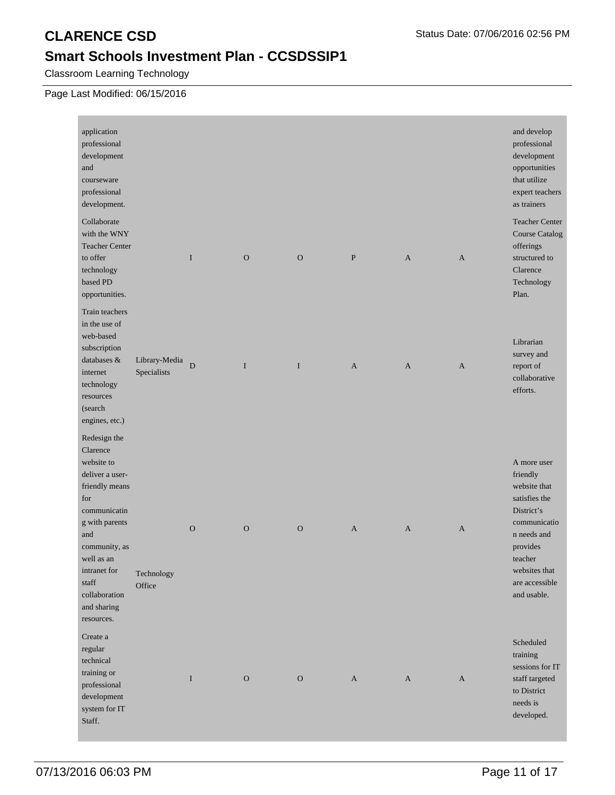Classroom Learning Technology

### Page Last Modified: 06/15/2016

| application<br>professional<br>development<br>and<br>courseware<br>professional<br>development.                                                                                                                                   |                              |             |               |              |              |              |              | and develop<br>professional<br>development<br>opportunities<br>that utilize<br>expert teachers<br>as trainers                                                                  |
|-----------------------------------------------------------------------------------------------------------------------------------------------------------------------------------------------------------------------------------|------------------------------|-------------|---------------|--------------|--------------|--------------|--------------|--------------------------------------------------------------------------------------------------------------------------------------------------------------------------------|
| Collaborate<br>with the WNY<br><b>Teacher Center</b><br>to offer<br>technology<br>based PD<br>opportunities.                                                                                                                      |                              | I           | $\mathbf{O}$  | $\mathbf{O}$ | $\mathbf{P}$ | $\mathbf{A}$ | $\mathbf{A}$ | <b>Teacher Center</b><br><b>Course Catalog</b><br>offerings<br>structured to<br>Clarence<br>Technology<br>Plan.                                                                |
| Train teachers<br>in the use of<br>web-based<br>subscription<br>databases &<br>internet<br>technology<br>resources<br>(search<br>engines, etc.)                                                                                   | Library-Media<br>Specialists | ${\bf D}$   | $\mathbf I$   | $\mathbf I$  | $\mathbf{A}$ | $\mathbf{A}$ | $\mathbf{A}$ | Librarian<br>survey and<br>report of<br>collaborative<br>efforts.                                                                                                              |
| Redesign the<br>Clarence<br>website to<br>deliver a user-<br>friendly means<br>for<br>communicatin<br>g with parents<br>and<br>community, as<br>well as an<br>intranet for<br>staff<br>collaboration<br>and sharing<br>resources. | Technology<br>Office         | $\mathbf O$ | $\mathcal{O}$ | $\mathcal O$ | A            | $\mathbf{A}$ | A            | A more user<br>friendly<br>website that<br>satisfies the<br>District's<br>communicatio<br>n needs and<br>provides<br>teacher<br>websites that<br>are accessible<br>and usable. |
| Create a<br>regular<br>technical<br>training or<br>professional<br>development<br>system for IT<br>Staff.                                                                                                                         |                              | I           | $\mathcal O$  | $\mathcal O$ | $\mathbf{A}$ | A            | $\mathbf{A}$ | Scheduled<br>training<br>sessions for IT<br>staff targeted<br>to District<br>needs is<br>developed.                                                                            |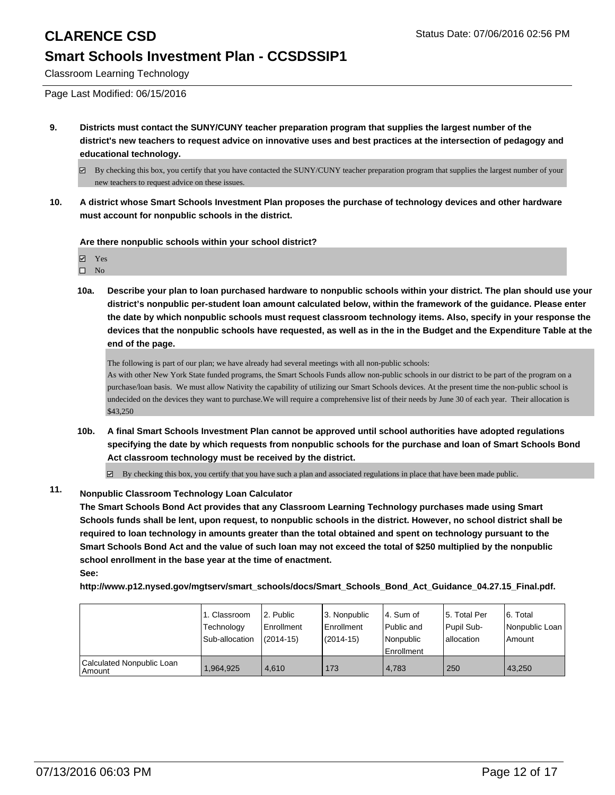Classroom Learning Technology

Page Last Modified: 06/15/2016

- **9. Districts must contact the SUNY/CUNY teacher preparation program that supplies the largest number of the district's new teachers to request advice on innovative uses and best practices at the intersection of pedagogy and educational technology.**
	- By checking this box, you certify that you have contacted the SUNY/CUNY teacher preparation program that supplies the largest number of your new teachers to request advice on these issues.
- **10. A district whose Smart Schools Investment Plan proposes the purchase of technology devices and other hardware must account for nonpublic schools in the district.**

**Are there nonpublic schools within your school district?**

Yes  $\square$  No

**10a. Describe your plan to loan purchased hardware to nonpublic schools within your district. The plan should use your district's nonpublic per-student loan amount calculated below, within the framework of the guidance. Please enter the date by which nonpublic schools must request classroom technology items. Also, specify in your response the devices that the nonpublic schools have requested, as well as in the in the Budget and the Expenditure Table at the end of the page.**

The following is part of our plan; we have already had several meetings with all non-public schools:

As with other New York State funded programs, the Smart Schools Funds allow non-public schools in our district to be part of the program on a purchase/loan basis. We must allow Nativity the capability of utilizing our Smart Schools devices. At the present time the non-public school is undecided on the devices they want to purchase.We will require a comprehensive list of their needs by June 30 of each year. Their allocation is \$43,250

**10b. A final Smart Schools Investment Plan cannot be approved until school authorities have adopted regulations specifying the date by which requests from nonpublic schools for the purchase and loan of Smart Schools Bond Act classroom technology must be received by the district.**

 $\overline{\mathcal{L}}$ By checking this box, you certify that you have such a plan and associated regulations in place that have been made public.

### **11. Nonpublic Classroom Technology Loan Calculator**

**The Smart Schools Bond Act provides that any Classroom Learning Technology purchases made using Smart Schools funds shall be lent, upon request, to nonpublic schools in the district. However, no school district shall be required to loan technology in amounts greater than the total obtained and spent on technology pursuant to the Smart Schools Bond Act and the value of such loan may not exceed the total of \$250 multiplied by the nonpublic school enrollment in the base year at the time of enactment. See:**

**http://www.p12.nysed.gov/mgtserv/smart\_schools/docs/Smart\_Schools\_Bond\_Act\_Guidance\_04.27.15\_Final.pdf.**

|                                         | 1. Classroom<br>Technology<br>Sub-allocation | 2. Public<br>Enrollment<br>$(2014-15)$ | 3. Nonpublic<br>Enrollment<br>$(2014 - 15)$ | l 4. Sum of<br>l Public and<br>l Nonpublic<br><b>Enrollment</b> | 5. Total Per<br>Pupil Sub-<br>Iallocation | 6. Total<br>l Nonpublic Loan<br>Amount |
|-----------------------------------------|----------------------------------------------|----------------------------------------|---------------------------------------------|-----------------------------------------------------------------|-------------------------------------------|----------------------------------------|
| Calculated Nonpublic Loan<br>l Amount i | .964.925                                     | 4.610                                  | 173                                         | 4.783                                                           | 250                                       | 43.250                                 |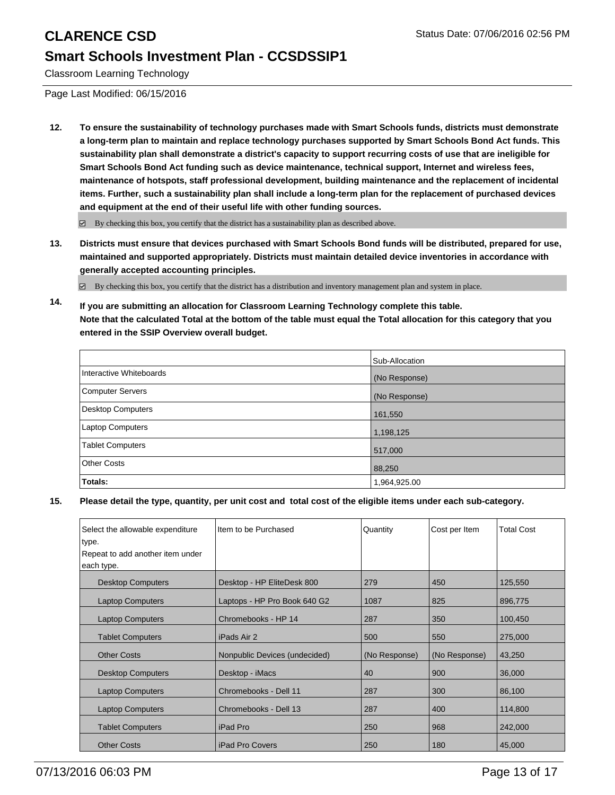Classroom Learning Technology

Page Last Modified: 06/15/2016

**12. To ensure the sustainability of technology purchases made with Smart Schools funds, districts must demonstrate a long-term plan to maintain and replace technology purchases supported by Smart Schools Bond Act funds. This sustainability plan shall demonstrate a district's capacity to support recurring costs of use that are ineligible for Smart Schools Bond Act funding such as device maintenance, technical support, Internet and wireless fees, maintenance of hotspots, staff professional development, building maintenance and the replacement of incidental items. Further, such a sustainability plan shall include a long-term plan for the replacement of purchased devices and equipment at the end of their useful life with other funding sources.**

 $\boxtimes$  By checking this box, you certify that the district has a sustainability plan as described above.

**13. Districts must ensure that devices purchased with Smart Schools Bond funds will be distributed, prepared for use, maintained and supported appropriately. Districts must maintain detailed device inventories in accordance with generally accepted accounting principles.**

 $\boxtimes$  By checking this box, you certify that the district has a distribution and inventory management plan and system in place.

**14. If you are submitting an allocation for Classroom Learning Technology complete this table. Note that the calculated Total at the bottom of the table must equal the Total allocation for this category that you entered in the SSIP Overview overall budget.**

|                          | Sub-Allocation |
|--------------------------|----------------|
| Interactive Whiteboards  | (No Response)  |
| <b>Computer Servers</b>  | (No Response)  |
| <b>Desktop Computers</b> | 161,550        |
| Laptop Computers         | 1,198,125      |
| <b>Tablet Computers</b>  | 517,000        |
| <b>Other Costs</b>       | 88,250         |
| Totals:                  | 1,964,925.00   |

| Select the allowable expenditure | Item to be Purchased          | Quantity      | Cost per Item | <b>Total Cost</b> |
|----------------------------------|-------------------------------|---------------|---------------|-------------------|
| type.                            |                               |               |               |                   |
| Repeat to add another item under |                               |               |               |                   |
| each type.                       |                               |               |               |                   |
| <b>Desktop Computers</b>         | Desktop - HP EliteDesk 800    | 279           | 450           | 125,550           |
| <b>Laptop Computers</b>          | Laptops - HP Pro Book 640 G2  | 1087          | 825           | 896,775           |
| <b>Laptop Computers</b>          | Chromebooks - HP 14           | 287           | 350           | 100,450           |
| <b>Tablet Computers</b>          | iPads Air 2                   | 500           | 550           | 275,000           |
| <b>Other Costs</b>               | Nonpublic Devices (undecided) | (No Response) | (No Response) | 43,250            |
| <b>Desktop Computers</b>         | Desktop - iMacs               | 40            | 900           | 36,000            |
| <b>Laptop Computers</b>          | Chromebooks - Dell 11         | 287           | 300           | 86,100            |
| <b>Laptop Computers</b>          | Chromebooks - Dell 13         | 287           | 400           | 114,800           |
| <b>Tablet Computers</b>          | iPad Pro                      | 250           | 968           | 242,000           |
| <b>Other Costs</b>               | <b>iPad Pro Covers</b>        | 250           | 180           | 45,000            |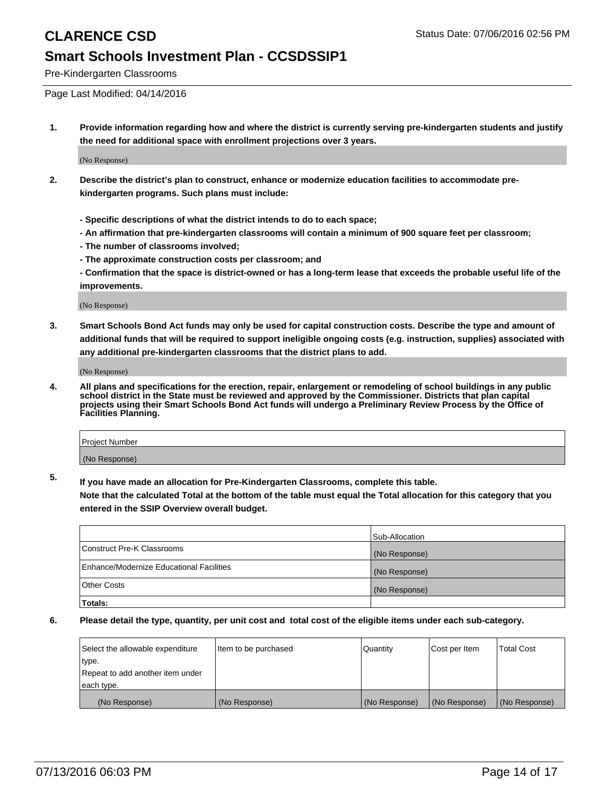Pre-Kindergarten Classrooms

Page Last Modified: 04/14/2016

**1. Provide information regarding how and where the district is currently serving pre-kindergarten students and justify the need for additional space with enrollment projections over 3 years.**

(No Response)

- **2. Describe the district's plan to construct, enhance or modernize education facilities to accommodate prekindergarten programs. Such plans must include:**
	- **Specific descriptions of what the district intends to do to each space;**
	- **An affirmation that pre-kindergarten classrooms will contain a minimum of 900 square feet per classroom;**
	- **The number of classrooms involved;**
	- **The approximate construction costs per classroom; and**
	- **Confirmation that the space is district-owned or has a long-term lease that exceeds the probable useful life of the improvements.**

(No Response)

**3. Smart Schools Bond Act funds may only be used for capital construction costs. Describe the type and amount of additional funds that will be required to support ineligible ongoing costs (e.g. instruction, supplies) associated with any additional pre-kindergarten classrooms that the district plans to add.**

(No Response)

**4. All plans and specifications for the erection, repair, enlargement or remodeling of school buildings in any public school district in the State must be reviewed and approved by the Commissioner. Districts that plan capital projects using their Smart Schools Bond Act funds will undergo a Preliminary Review Process by the Office of Facilities Planning.**

| <b>Project Number</b> |  |
|-----------------------|--|
| (No Response)         |  |

**5. If you have made an allocation for Pre-Kindergarten Classrooms, complete this table.**

**Note that the calculated Total at the bottom of the table must equal the Total allocation for this category that you entered in the SSIP Overview overall budget.**

|                                          | Sub-Allocation |
|------------------------------------------|----------------|
| Construct Pre-K Classrooms               | (No Response)  |
| Enhance/Modernize Educational Facilities | (No Response)  |
| <b>Other Costs</b>                       | (No Response)  |
| Totals:                                  |                |

| Select the allowable expenditure | litem to be purchased | Quantity      | Cost per Item | <b>Total Cost</b> |
|----------------------------------|-----------------------|---------------|---------------|-------------------|
| type.                            |                       |               |               |                   |
| Repeat to add another item under |                       |               |               |                   |
| each type.                       |                       |               |               |                   |
| (No Response)                    | (No Response)         | (No Response) | (No Response) | (No Response)     |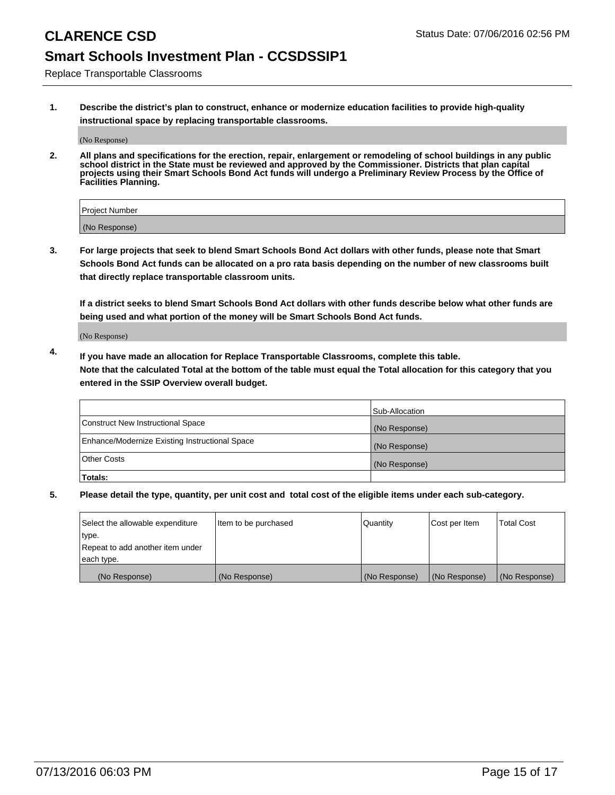Replace Transportable Classrooms

**1. Describe the district's plan to construct, enhance or modernize education facilities to provide high-quality instructional space by replacing transportable classrooms.**

(No Response)

**2. All plans and specifications for the erection, repair, enlargement or remodeling of school buildings in any public school district in the State must be reviewed and approved by the Commissioner. Districts that plan capital projects using their Smart Schools Bond Act funds will undergo a Preliminary Review Process by the Office of Facilities Planning.**

| Project Number |  |
|----------------|--|
| (No Response)  |  |

**3. For large projects that seek to blend Smart Schools Bond Act dollars with other funds, please note that Smart Schools Bond Act funds can be allocated on a pro rata basis depending on the number of new classrooms built that directly replace transportable classroom units.**

**If a district seeks to blend Smart Schools Bond Act dollars with other funds describe below what other funds are being used and what portion of the money will be Smart Schools Bond Act funds.**

(No Response)

**4. If you have made an allocation for Replace Transportable Classrooms, complete this table. Note that the calculated Total at the bottom of the table must equal the Total allocation for this category that you entered in the SSIP Overview overall budget.**

|                                                | Sub-Allocation |
|------------------------------------------------|----------------|
| Construct New Instructional Space              | (No Response)  |
| Enhance/Modernize Existing Instructional Space | (No Response)  |
| Other Costs                                    | (No Response)  |
| Totals:                                        |                |

| Select the allowable expenditure | Item to be purchased | Quantity      | Cost per Item | <b>Total Cost</b> |
|----------------------------------|----------------------|---------------|---------------|-------------------|
| type.                            |                      |               |               |                   |
| Repeat to add another item under |                      |               |               |                   |
| each type.                       |                      |               |               |                   |
| (No Response)                    | (No Response)        | (No Response) | (No Response) | (No Response)     |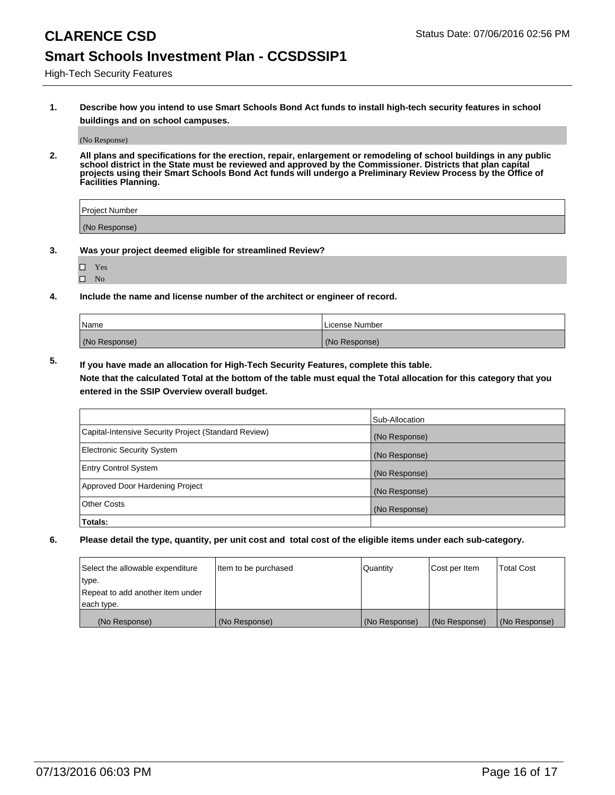High-Tech Security Features

**1. Describe how you intend to use Smart Schools Bond Act funds to install high-tech security features in school buildings and on school campuses.**

(No Response)

**2. All plans and specifications for the erection, repair, enlargement or remodeling of school buildings in any public school district in the State must be reviewed and approved by the Commissioner. Districts that plan capital projects using their Smart Schools Bond Act funds will undergo a Preliminary Review Process by the Office of Facilities Planning.** 

| Project Number |  |
|----------------|--|
| (No Response)  |  |

- **3. Was your project deemed eligible for streamlined Review?**
	- Yes
	- $\square$  No
- **4. Include the name and license number of the architect or engineer of record.**

| Name          | License Number |
|---------------|----------------|
| (No Response) | (No Response)  |

**5. If you have made an allocation for High-Tech Security Features, complete this table.**

**Note that the calculated Total at the bottom of the table must equal the Total allocation for this category that you entered in the SSIP Overview overall budget.**

|                                                      | Sub-Allocation |
|------------------------------------------------------|----------------|
| Capital-Intensive Security Project (Standard Review) | (No Response)  |
| <b>Electronic Security System</b>                    | (No Response)  |
| <b>Entry Control System</b>                          | (No Response)  |
| Approved Door Hardening Project                      | (No Response)  |
| <b>Other Costs</b>                                   | (No Response)  |
| Totals:                                              |                |

| Select the allowable expenditure | Item to be purchased | Quantity      | Cost per Item | <b>Total Cost</b> |
|----------------------------------|----------------------|---------------|---------------|-------------------|
| type.                            |                      |               |               |                   |
| Repeat to add another item under |                      |               |               |                   |
| each type.                       |                      |               |               |                   |
| (No Response)                    | (No Response)        | (No Response) | (No Response) | (No Response)     |